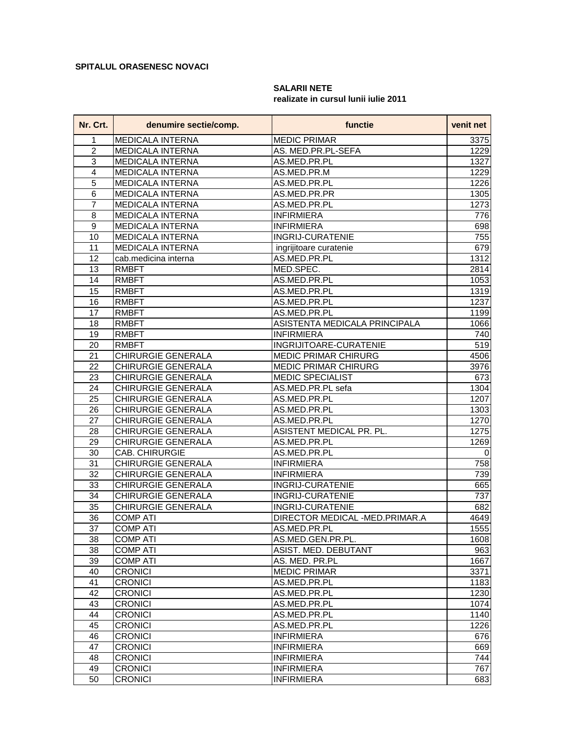## **SPITALUL ORASENESC NOVACI**

## **Nr. Crt. denumire sectie/comp. functie venit net** 1 MEDICALA INTERNA MEDIC PRIMAR 3375 2 MEDICALA INTERNA AS. MED.PR.PL-SEFA 1229 3 MEDICALA INTERNA AS.MED.PR.PL 1327 4 MEDICALA INTERNA AS.MED.PR.M 1229 5 MEDICALA INTERNA AS.MED.PR.PL 1226 6 MEDICALA INTERNA AS.MED.PR.PR 1305 7 MEDICALA INTERNA AS.MED.PR.PL 1273 8 MEDICALA INTERNA INFIRMIERA 776 9 MEDICALA INTERNA INFIRMIERA 698 10 MEDICALA INTERNA INGRIJ-CURATENIE 755 11 | MEDICALA INTERNA | ingrijitoare curatenie | 679 12 cab.medicina interna AS.MED.PR.PL 1312 13 RMBFT MED.SPEC. 2814 14 RMBFT AS.MED.PR.PL 1053 15 RMBFT 1319 AS.MED.PR.PL 1319 16 RMBFT AS.MED.PR.PL 1237 17 RMBFT AS.MED.PR.PL 2001 1199 18 RMBFT ASISTENTA MEDICALA PRINCIPALA 1066 19 RMBFT INFIRMIERA 2001 20 RMBFT INGRIJITOARE-CURATENIE 519 21 CHIRURGIE GENERALA MEDIC PRIMAR CHIRURG | 4506 22 CHIRURGIE GENERALA MEDIC PRIMAR CHIRURG | 3976 23 CHIRURGIE GENERALA MEDIC SPECIALIST NATURE 1673 24 CHIRURGIE GENERALA AS.MED.PR.PL sefa 1304 25 CHIRURGIE GENERALA AS.MED.PR.PL 1207 26 CHIRURGIE GENERALA AS.MED.PR.PL 1303 27 CHIRURGIE GENERALA AS.MED.PR.PL 1270 28 CHIRURGIE GENERALA ASISTENT MEDICAL PR. PL. 1275 29 CHIRURGIE GENERALA AS.MED.PR.PL 1269 30 CAB. CHIRURGIE AS.MED.PR.PL 0 31 CHIRURGIE GENERALA INFIRMIERA INFORMERA INFORMATION IN 758 32 CHIRURGIE GENERALA INFIRMIERA 739 33 CHIRURGIE GENERALA | INGRIJ-CURATENIE | 665 34 CHIRURGIE GENERALA INGRIJ-CURATENIE 737 35 CHIRURGIE GENERALA INGRIJ-CURATENIE 682 36 COMP ATI DIRECTOR MEDICAL -MED.PRIMAR.A | 4649 37 COMP ATI AS.MED.PR.PL 1555 38 COMP ATI AS.MED.GEN.PR.PL. 1608 38 COMP ATI ASIST. MED. DEBUTANT 963 39 COMP ATI AS. MED. PR.PL 1667 40 CRONICI MEDIC PRIMAR 23371 41 CRONICI AS.MED.PR.PL 1183 42 CRONICI AS.MED.PR.PL 1230 43 CRONICI AS.MED.PR.PL 1074 44 CRONICI AS.MED.PR.PL 1140 45 CRONICI AS.MED.PR.PL 1226 46 CRONICI INFIRMIERA 676 47 CRONICI INFIRMIERA 669 48 CRONICI INFIRMIERA I 1999 | 744 49 CRONICI | 767 50 CRONICI INFIRMIERA 683

## **SALARII NETE**

**realizate in cursul lunii iulie 2011**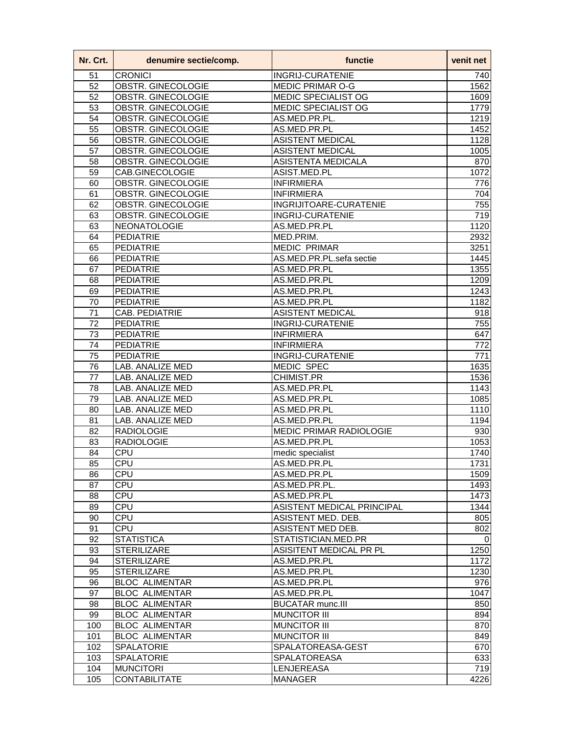| Nr. Crt. | denumire sectie/comp. | functie                    | venit net        |
|----------|-----------------------|----------------------------|------------------|
| 51       | <b>CRONICI</b>        | <b>INGRIJ-CURATENIE</b>    | 740              |
| 52       | OBSTR. GINECOLOGIE    | <b>MEDIC PRIMAR O-G</b>    | 1562             |
| 52       | OBSTR. GINECOLOGIE    | <b>MEDIC SPECIALIST OG</b> | 1609             |
| 53       | OBSTR. GINECOLOGIE    | MEDIC SPECIALIST OG        | 1779             |
| 54       | OBSTR. GINECOLOGIE    | AS.MED.PR.PL.              | 1219             |
| 55       | OBSTR. GINECOLOGIE    | AS.MED.PR.PL               | 1452             |
| 56       | OBSTR. GINECOLOGIE    | <b>ASISTENT MEDICAL</b>    | 1128             |
| 57       | OBSTR. GINECOLOGIE    | <b>ASISTENT MEDICAL</b>    | 1005             |
| 58       | OBSTR. GINECOLOGIE    | <b>ASISTENTA MEDICALA</b>  | 870              |
| 59       | CAB.GINECOLOGIE       | ASIST.MED.PL               | 1072             |
| 60       | OBSTR. GINECOLOGIE    | <b>INFIRMIERA</b>          | 776              |
| 61       | OBSTR. GINECOLOGIE    | <b>INFIRMIERA</b>          | 704              |
| 62       | OBSTR. GINECOLOGIE    | INGRIJITOARE-CURATENIE     | 755              |
| 63       | OBSTR. GINECOLOGIE    | <b>INGRIJ-CURATENIE</b>    | 719              |
| 63       | <b>NEONATOLOGIE</b>   | AS.MED.PR.PL               | 1120             |
| 64       | <b>PEDIATRIE</b>      | MED.PRIM.                  | 2932             |
| 65       | <b>PEDIATRIE</b>      | <b>MEDIC PRIMAR</b>        | 3251             |
| 66       | <b>PEDIATRIE</b>      | AS.MED.PR.PL.sefa sectie   | 1445             |
| 67       | <b>PEDIATRIE</b>      | AS.MED.PR.PL               | 1355             |
| 68       | <b>PEDIATRIE</b>      | AS.MED.PR.PL               | 1209             |
| 69       | <b>PEDIATRIE</b>      | AS.MED.PR.PL               | 1243             |
| 70       | <b>PEDIATRIE</b>      | AS.MED.PR.PL               | 1182             |
| 71       | <b>CAB. PEDIATRIE</b> | <b>ASISTENT MEDICAL</b>    | 918              |
| 72       | <b>PEDIATRIE</b>      | <b>INGRIJ-CURATENIE</b>    | 755              |
| 73       | <b>PEDIATRIE</b>      | <b>INFIRMIERA</b>          | 647              |
| 74       | <b>PEDIATRIE</b>      | <b>INFIRMIERA</b>          | 772              |
| 75       | <b>PEDIATRIE</b>      | <b>INGRIJ-CURATENIE</b>    | $\overline{771}$ |
| 76       | LAB. ANALIZE MED      | <b>MEDIC SPEC</b>          | 1635             |
| 77       | LAB. ANALIZE MED      | <b>CHIMIST.PR</b>          | 1536             |
| 78       | LAB. ANALIZE MED      | AS.MED.PR.PL               | 1143             |
| 79       | LAB. ANALIZE MED      | AS.MED.PR.PL               | 1085             |
| 80       | LAB. ANALIZE MED      | AS.MED.PR.PL               | 1110             |
| 81       | LAB. ANALIZE MED      | AS.MED.PR.PL               | 1194             |
| 82       | <b>RADIOLOGIE</b>     | MEDIC PRIMAR RADIOLOGIE    | 930              |
| 83       | <b>RADIOLOGIE</b>     | AS.MED.PR.PL               | 1053             |
| 84       | <b>CPU</b>            | medic specialist           | 1740             |
| 85       | <b>CPU</b>            | AS.MED.PR.PL               | 1731             |
| 86       | <b>CPU</b>            | AS.MED.PR.PL               | 1509             |
| 87       | CPU                   | AS.MED.PR.PL.              | 1493             |
| 88       | CPU                   | AS.MED.PR.PL               | 1473             |
| 89       | CPU                   | ASISTENT MEDICAL PRINCIPAL | 1344             |
| 90       | <b>CPU</b>            | ASISTENT MED. DEB.         | 805              |
| 91       | <b>CPU</b>            | ASISTENT MED DEB.          | 802              |
| 92       | <b>STATISTICA</b>     | STATISTICIAN.MED.PR        | 0                |
| 93       | <b>STERILIZARE</b>    | ASISITENT MEDICAL PR PL    | 1250             |
| 94       | <b>STERILIZARE</b>    | AS.MED.PR.PL               | 1172             |
| 95       | <b>STERILIZARE</b>    | AS.MED.PR.PL               | 1230             |
| 96       | <b>BLOC ALIMENTAR</b> | AS.MED.PR.PL               | 976              |
| 97       | <b>BLOC ALIMENTAR</b> | AS.MED.PR.PL               | 1047             |
| 98       | <b>BLOC ALIMENTAR</b> | <b>BUCATAR munc.III</b>    | 850              |
| 99       | <b>BLOC ALIMENTAR</b> | <b>MUNCITOR III</b>        | 894              |
| 100      | <b>BLOC ALIMENTAR</b> | <b>MUNCITOR III</b>        | 870              |
| 101      | <b>BLOC ALIMENTAR</b> | <b>MUNCITOR III</b>        | 849              |
| 102      | <b>SPALATORIE</b>     | SPALATOREASA-GEST          | 670              |
| 103      | <b>SPALATORIE</b>     | <b>SPALATOREASA</b>        | 633              |
| 104      | <b>MUNCITORI</b>      | <b>LENJEREASA</b>          | 719              |
| 105      | <b>CONTABILITATE</b>  | <b>MANAGER</b>             | 4226             |